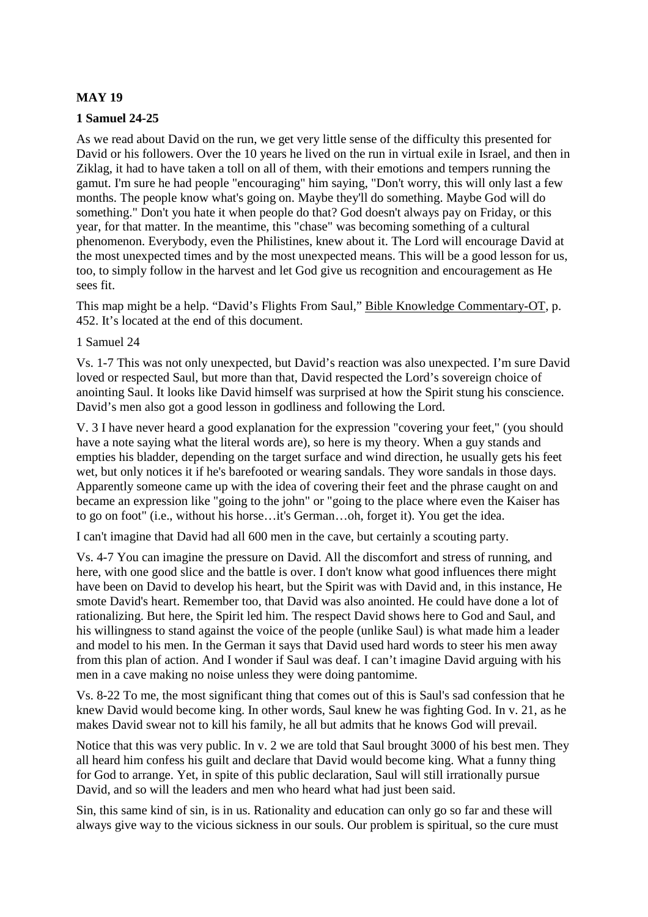### **MAY 19**

#### **1 Samuel 24-25**

As we read about David on the run, we get very little sense of the difficulty this presented for David or his followers. Over the 10 years he lived on the run in virtual exile in Israel, and then in Ziklag, it had to have taken a toll on all of them, with their emotions and tempers running the gamut. I'm sure he had people "encouraging" him saying, "Don't worry, this will only last a few months. The people know what's going on. Maybe they'll do something. Maybe God will do something." Don't you hate it when people do that? God doesn't always pay on Friday, or this year, for that matter. In the meantime, this "chase" was becoming something of a cultural phenomenon. Everybody, even the Philistines, knew about it. The Lord will encourage David at the most unexpected times and by the most unexpected means. This will be a good lesson for us, too, to simply follow in the harvest and let God give us recognition and encouragement as He sees fit.

This map might be a help. "David's Flights From Saul," Bible Knowledge Commentary-OT, p. 452. It's located at the end of this document.

#### 1 Samuel 24

Vs. 1-7 This was not only unexpected, but David's reaction was also unexpected. I'm sure David loved or respected Saul, but more than that, David respected the Lord's sovereign choice of anointing Saul. It looks like David himself was surprised at how the Spirit stung his conscience. David's men also got a good lesson in godliness and following the Lord.

V. 3 I have never heard a good explanation for the expression "covering your feet," (you should have a note saying what the literal words are), so here is my theory. When a guy stands and empties his bladder, depending on the target surface and wind direction, he usually gets his feet wet, but only notices it if he's barefooted or wearing sandals. They wore sandals in those days. Apparently someone came up with the idea of covering their feet and the phrase caught on and became an expression like "going to the john" or "going to the place where even the Kaiser has to go on foot" (i.e., without his horse…it's German…oh, forget it). You get the idea.

I can't imagine that David had all 600 men in the cave, but certainly a scouting party.

Vs. 4-7 You can imagine the pressure on David. All the discomfort and stress of running, and here, with one good slice and the battle is over. I don't know what good influences there might have been on David to develop his heart, but the Spirit was with David and, in this instance, He smote David's heart. Remember too, that David was also anointed. He could have done a lot of rationalizing. But here, the Spirit led him. The respect David shows here to God and Saul, and his willingness to stand against the voice of the people (unlike Saul) is what made him a leader and model to his men. In the German it says that David used hard words to steer his men away from this plan of action. And I wonder if Saul was deaf. I can't imagine David arguing with his men in a cave making no noise unless they were doing pantomime.

Vs. 8-22 To me, the most significant thing that comes out of this is Saul's sad confession that he knew David would become king. In other words, Saul knew he was fighting God. In v. 21, as he makes David swear not to kill his family, he all but admits that he knows God will prevail.

Notice that this was very public. In v. 2 we are told that Saul brought 3000 of his best men. They all heard him confess his guilt and declare that David would become king. What a funny thing for God to arrange. Yet, in spite of this public declaration, Saul will still irrationally pursue David, and so will the leaders and men who heard what had just been said.

Sin, this same kind of sin, is in us. Rationality and education can only go so far and these will always give way to the vicious sickness in our souls. Our problem is spiritual, so the cure must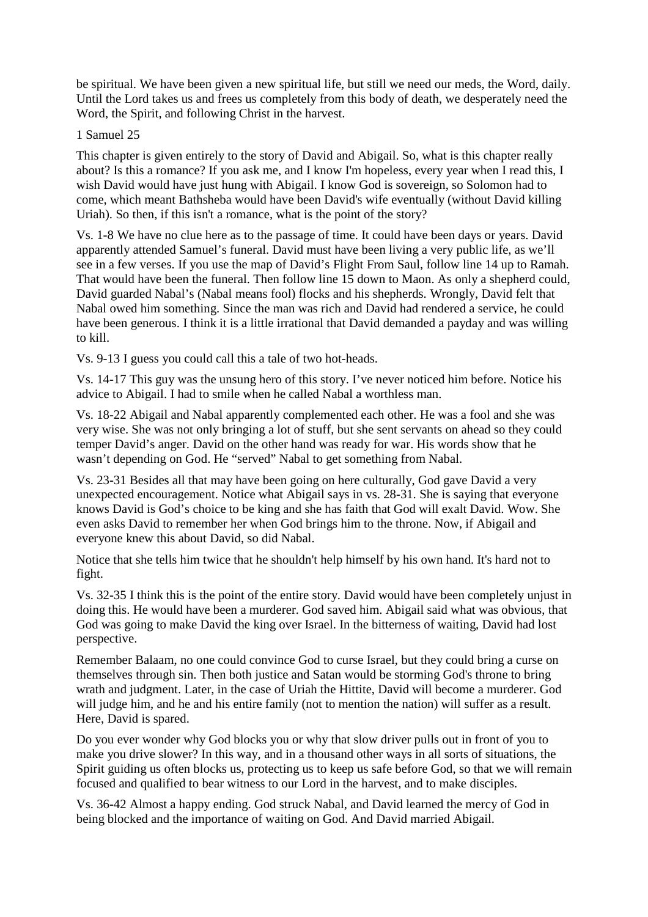be spiritual. We have been given a new spiritual life, but still we need our meds, the Word, daily. Until the Lord takes us and frees us completely from this body of death, we desperately need the Word, the Spirit, and following Christ in the harvest.

#### 1 Samuel 25

This chapter is given entirely to the story of David and Abigail. So, what is this chapter really about? Is this a romance? If you ask me, and I know I'm hopeless, every year when I read this, I wish David would have just hung with Abigail. I know God is sovereign, so Solomon had to come, which meant Bathsheba would have been David's wife eventually (without David killing Uriah). So then, if this isn't a romance, what is the point of the story?

Vs. 1-8 We have no clue here as to the passage of time. It could have been days or years. David apparently attended Samuel's funeral. David must have been living a very public life, as we'll see in a few verses. If you use the map of David's Flight From Saul, follow line 14 up to Ramah. That would have been the funeral. Then follow line 15 down to Maon. As only a shepherd could, David guarded Nabal's (Nabal means fool) flocks and his shepherds. Wrongly, David felt that Nabal owed him something. Since the man was rich and David had rendered a service, he could have been generous. I think it is a little irrational that David demanded a payday and was willing to kill.

Vs. 9-13 I guess you could call this a tale of two hot-heads.

Vs. 14-17 This guy was the unsung hero of this story. I've never noticed him before. Notice his advice to Abigail. I had to smile when he called Nabal a worthless man.

Vs. 18-22 Abigail and Nabal apparently complemented each other. He was a fool and she was very wise. She was not only bringing a lot of stuff, but she sent servants on ahead so they could temper David's anger. David on the other hand was ready for war. His words show that he wasn't depending on God. He "served" Nabal to get something from Nabal.

Vs. 23-31 Besides all that may have been going on here culturally, God gave David a very unexpected encouragement. Notice what Abigail says in vs. 28-31. She is saying that everyone knows David is God's choice to be king and she has faith that God will exalt David. Wow. She even asks David to remember her when God brings him to the throne. Now, if Abigail and everyone knew this about David, so did Nabal.

Notice that she tells him twice that he shouldn't help himself by his own hand. It's hard not to fight.

Vs. 32-35 I think this is the point of the entire story. David would have been completely unjust in doing this. He would have been a murderer. God saved him. Abigail said what was obvious, that God was going to make David the king over Israel. In the bitterness of waiting, David had lost perspective.

Remember Balaam, no one could convince God to curse Israel, but they could bring a curse on themselves through sin. Then both justice and Satan would be storming God's throne to bring wrath and judgment. Later, in the case of Uriah the Hittite, David will become a murderer. God will judge him, and he and his entire family (not to mention the nation) will suffer as a result. Here, David is spared.

Do you ever wonder why God blocks you or why that slow driver pulls out in front of you to make you drive slower? In this way, and in a thousand other ways in all sorts of situations, the Spirit guiding us often blocks us, protecting us to keep us safe before God, so that we will remain focused and qualified to bear witness to our Lord in the harvest, and to make disciples.

Vs. 36-42 Almost a happy ending. God struck Nabal, and David learned the mercy of God in being blocked and the importance of waiting on God. And David married Abigail.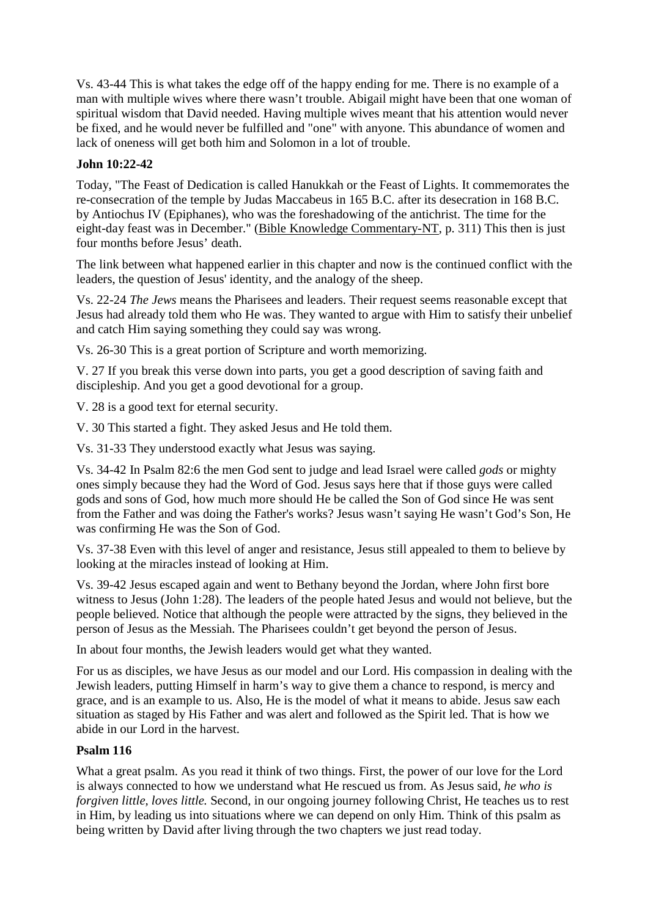Vs. 43-44 This is what takes the edge off of the happy ending for me. There is no example of a man with multiple wives where there wasn't trouble. Abigail might have been that one woman of spiritual wisdom that David needed. Having multiple wives meant that his attention would never be fixed, and he would never be fulfilled and "one" with anyone. This abundance of women and lack of oneness will get both him and Solomon in a lot of trouble.

# **John 10:22-42**

Today, "The Feast of Dedication is called Hanukkah or the Feast of Lights. It commemorates the re-consecration of the temple by Judas Maccabeus in 165 B.C. after its desecration in 168 B.C. by Antiochus IV (Epiphanes), who was the foreshadowing of the antichrist. The time for the eight-day feast was in December." (Bible Knowledge Commentary-NT, p. 311) This then is just four months before Jesus' death.

The link between what happened earlier in this chapter and now is the continued conflict with the leaders, the question of Jesus' identity, and the analogy of the sheep.

Vs. 22-24 *The Jews* means the Pharisees and leaders. Their request seems reasonable except that Jesus had already told them who He was. They wanted to argue with Him to satisfy their unbelief and catch Him saying something they could say was wrong.

Vs. 26-30 This is a great portion of Scripture and worth memorizing.

V. 27 If you break this verse down into parts, you get a good description of saving faith and discipleship. And you get a good devotional for a group.

V. 28 is a good text for eternal security.

V. 30 This started a fight. They asked Jesus and He told them.

Vs. 31-33 They understood exactly what Jesus was saying.

Vs. 34-42 In Psalm 82:6 the men God sent to judge and lead Israel were called *gods* or mighty ones simply because they had the Word of God. Jesus says here that if those guys were called gods and sons of God, how much more should He be called the Son of God since He was sent from the Father and was doing the Father's works? Jesus wasn't saying He wasn't God's Son, He was confirming He was the Son of God.

Vs. 37-38 Even with this level of anger and resistance, Jesus still appealed to them to believe by looking at the miracles instead of looking at Him.

Vs. 39-42 Jesus escaped again and went to Bethany beyond the Jordan, where John first bore witness to Jesus (John 1:28). The leaders of the people hated Jesus and would not believe, but the people believed. Notice that although the people were attracted by the signs, they believed in the person of Jesus as the Messiah. The Pharisees couldn't get beyond the person of Jesus.

In about four months, the Jewish leaders would get what they wanted.

For us as disciples, we have Jesus as our model and our Lord. His compassion in dealing with the Jewish leaders, putting Himself in harm's way to give them a chance to respond, is mercy and grace, and is an example to us. Also, He is the model of what it means to abide. Jesus saw each situation as staged by His Father and was alert and followed as the Spirit led. That is how we abide in our Lord in the harvest.

#### **Psalm 116**

What a great psalm. As you read it think of two things. First, the power of our love for the Lord is always connected to how we understand what He rescued us from. As Jesus said, *he who is forgiven little, loves little.* Second, in our ongoing journey following Christ, He teaches us to rest in Him, by leading us into situations where we can depend on only Him. Think of this psalm as being written by David after living through the two chapters we just read today.